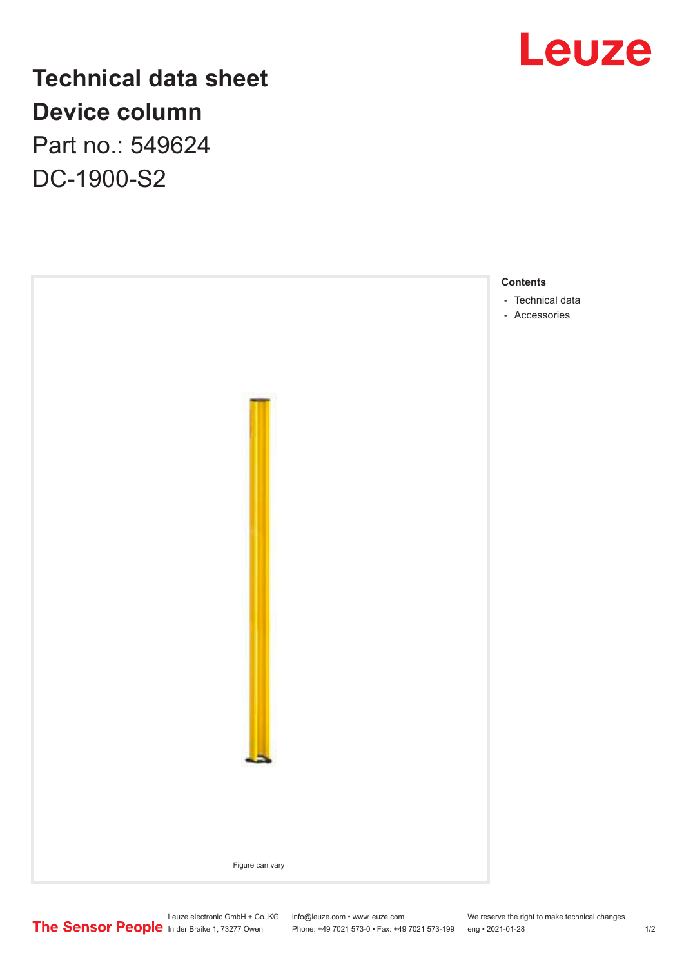

## **Technical data sheet Device column** Part no.: 549624 DC-1900-S2